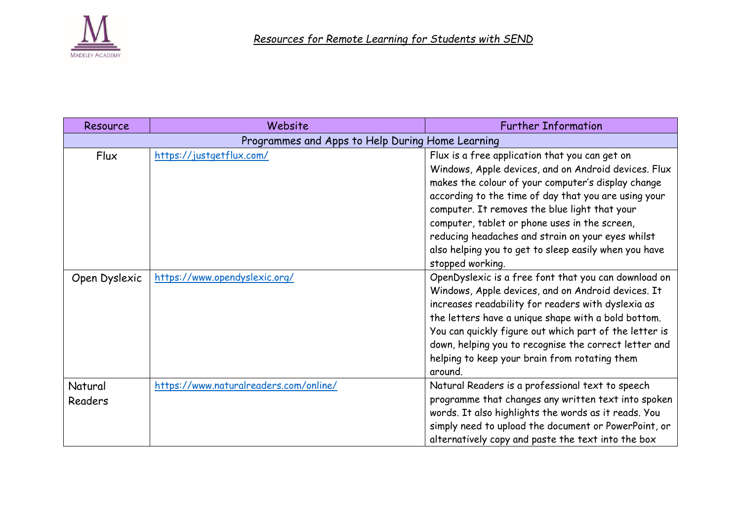

| Resource                                         | Website                                | <b>Further Information</b>                                                                                    |
|--------------------------------------------------|----------------------------------------|---------------------------------------------------------------------------------------------------------------|
| Programmes and Apps to Help During Home Learning |                                        |                                                                                                               |
| Flux                                             | https://justgetflux.com/               | Flux is a free application that you can get on                                                                |
|                                                  |                                        | Windows, Apple devices, and on Android devices. Flux                                                          |
|                                                  |                                        | makes the colour of your computer's display change<br>according to the time of day that you are using your    |
|                                                  |                                        | computer. It removes the blue light that your                                                                 |
|                                                  |                                        | computer, tablet or phone uses in the screen,                                                                 |
|                                                  |                                        | reducing headaches and strain on your eyes whilst                                                             |
|                                                  |                                        | also helping you to get to sleep easily when you have                                                         |
|                                                  |                                        | stopped working.                                                                                              |
| Open Dyslexic                                    | https://www.opendyslexic.org/          | OpenDyslexic is a free font that you can download on                                                          |
|                                                  |                                        | Windows, Apple devices, and on Android devices. It                                                            |
|                                                  |                                        | increases readability for readers with dyslexia as                                                            |
|                                                  |                                        | the letters have a unique shape with a bold bottom.<br>You can quickly figure out which part of the letter is |
|                                                  |                                        | down, helping you to recognise the correct letter and                                                         |
|                                                  |                                        | helping to keep your brain from rotating them                                                                 |
|                                                  |                                        | around.                                                                                                       |
| Natural                                          | https://www.naturalreaders.com/online/ | Natural Readers is a professional text to speech                                                              |
| <b>Readers</b>                                   |                                        | programme that changes any written text into spoken                                                           |
|                                                  |                                        | words. It also highlights the words as it reads. You                                                          |
|                                                  |                                        | simply need to upload the document or PowerPoint, or                                                          |
|                                                  |                                        | alternatively copy and paste the text into the box                                                            |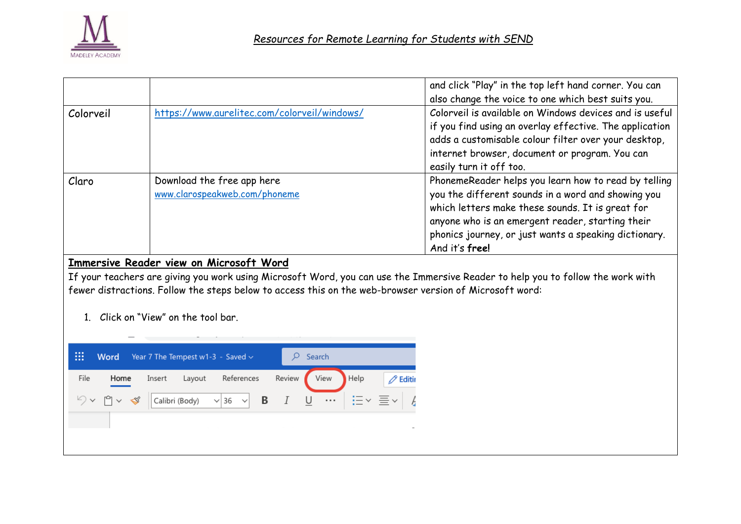

|           |                                                             | and click "Play" in the top left hand corner. You can<br>also change the voice to one which best suits you.                                                                                                                                                                                   |
|-----------|-------------------------------------------------------------|-----------------------------------------------------------------------------------------------------------------------------------------------------------------------------------------------------------------------------------------------------------------------------------------------|
| Colorveil | https://www.aurelitec.com/colorveil/windows/                | Colorveil is available on Windows devices and is useful<br>if you find using an overlay effective. The application<br>adds a customisable colour filter over your desktop,<br>internet browser, document or program. You can<br>easily turn it off too.                                       |
| Claro     | Download the free app here<br>www.clarospeakweb.com/phoneme | PhonemeReader helps you learn how to read by telling<br>you the different sounds in a word and showing you<br>which letters make these sounds. It is great for<br>anyone who is an emergent reader, starting their<br>phonics journey, or just wants a speaking dictionary.<br>And it's free! |

## **Immersive Reader view on Microsoft Word**

If your teachers are giving you work using Microsoft Word, you can use the Immersive Reader to help you to follow the work with fewer distractions. Follow the steps below to access this on the web-browser version of Microsoft word:

1. Click on "View" on the tool bar.

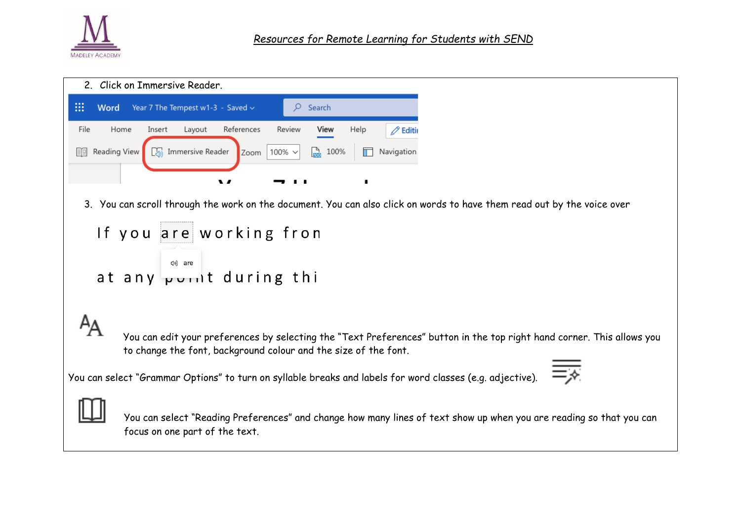

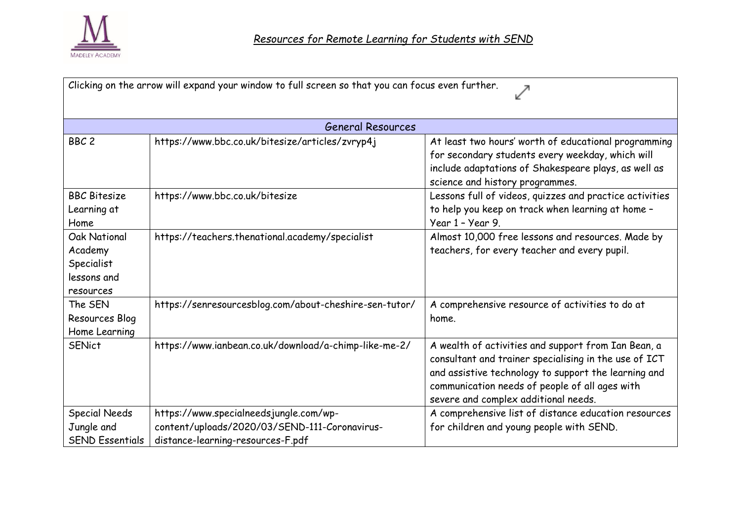

| Clicking on the arrow will expand your window to full screen so that you can focus even further. |                                                                                                                              |                                                                                                                                                                                                                                                                |  |  |
|--------------------------------------------------------------------------------------------------|------------------------------------------------------------------------------------------------------------------------------|----------------------------------------------------------------------------------------------------------------------------------------------------------------------------------------------------------------------------------------------------------------|--|--|
| <b>General Resources</b>                                                                         |                                                                                                                              |                                                                                                                                                                                                                                                                |  |  |
| BBC <sub>2</sub>                                                                                 | https://www.bbc.co.uk/bitesize/articles/zvryp4j                                                                              | At least two hours' worth of educational programming<br>for secondary students every weekday, which will<br>include adaptations of Shakespeare plays, as well as<br>science and history programmes.                                                            |  |  |
| <b>BBC Bitesize</b><br>Learning at<br>Home                                                       | https://www.bbc.co.uk/bitesize                                                                                               | Lessons full of videos, quizzes and practice activities<br>to help you keep on track when learning at home -<br>Year 1 - Year 9.                                                                                                                               |  |  |
| <b>Oak National</b><br>Academy<br>Specialist<br>lessons and<br>resources                         | https://teachers.thenational.academy/specialist                                                                              | Almost 10,000 free lessons and resources. Made by<br>teachers, for every teacher and every pupil.                                                                                                                                                              |  |  |
| The SEN<br>Resources Blog<br>Home Learning                                                       | https://senresourcesblog.com/about-cheshire-sen-tutor/                                                                       | A comprehensive resource of activities to do at<br>home.                                                                                                                                                                                                       |  |  |
| <b>SENict</b>                                                                                    | https://www.ianbean.co.uk/download/a-chimp-like-me-2/                                                                        | A wealth of activities and support from Ian Bean, a<br>consultant and trainer specialising in the use of ICT<br>and assistive technology to support the learning and<br>communication needs of people of all ages with<br>severe and complex additional needs. |  |  |
| <b>Special Needs</b><br>Jungle and<br><b>SEND Essentials</b>                                     | https://www.specialneedsjungle.com/wp-<br>content/uploads/2020/03/SEND-111-Coronavirus-<br>distance-learning-resources-F.pdf | A comprehensive list of distance education resources<br>for children and young people with SEND.                                                                                                                                                               |  |  |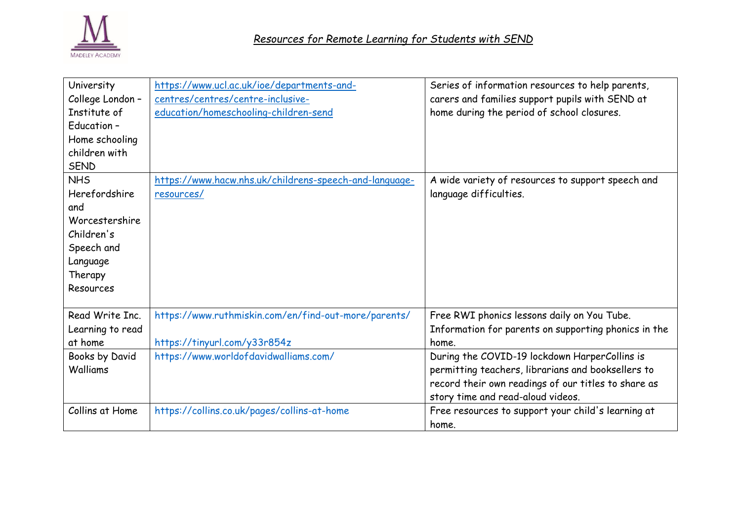

| University<br>College London -<br>Institute of<br>Education -<br>Home schooling<br>children with<br><b>SEND</b><br><b>NHS</b> | https://www.ucl.ac.uk/ioe/departments-and-<br>centres/centres/centre-inclusive-<br>education/homeschooling-children-send<br>https://www.hacw.nhs.uk/childrens-speech-and-language- | Series of information resources to help parents,<br>carers and families support pupils with SEND at<br>home during the period of school closures.<br>A wide variety of resources to support speech and |
|-------------------------------------------------------------------------------------------------------------------------------|------------------------------------------------------------------------------------------------------------------------------------------------------------------------------------|--------------------------------------------------------------------------------------------------------------------------------------------------------------------------------------------------------|
| Herefordshire                                                                                                                 | resources/                                                                                                                                                                         | language difficulties.                                                                                                                                                                                 |
| and                                                                                                                           |                                                                                                                                                                                    |                                                                                                                                                                                                        |
| Worcestershire                                                                                                                |                                                                                                                                                                                    |                                                                                                                                                                                                        |
| Children's                                                                                                                    |                                                                                                                                                                                    |                                                                                                                                                                                                        |
| Speech and                                                                                                                    |                                                                                                                                                                                    |                                                                                                                                                                                                        |
| Language                                                                                                                      |                                                                                                                                                                                    |                                                                                                                                                                                                        |
| Therapy                                                                                                                       |                                                                                                                                                                                    |                                                                                                                                                                                                        |
| Resources                                                                                                                     |                                                                                                                                                                                    |                                                                                                                                                                                                        |
| Read Write Inc.                                                                                                               | https://www.ruthmiskin.com/en/find-out-more/parents/                                                                                                                               | Free RWI phonics lessons daily on You Tube.                                                                                                                                                            |
| Learning to read                                                                                                              |                                                                                                                                                                                    | Information for parents on supporting phonics in the                                                                                                                                                   |
| at home                                                                                                                       | https://tinyurl.com/y33r854z                                                                                                                                                       | home.                                                                                                                                                                                                  |
| Books by David                                                                                                                | https://www.worldofdavidwalliams.com/                                                                                                                                              | During the COVID-19 lockdown HarperCollins is                                                                                                                                                          |
| Walliams                                                                                                                      |                                                                                                                                                                                    | permitting teachers, librarians and booksellers to                                                                                                                                                     |
|                                                                                                                               |                                                                                                                                                                                    | record their own readings of our titles to share as                                                                                                                                                    |
|                                                                                                                               |                                                                                                                                                                                    | story time and read-aloud videos.                                                                                                                                                                      |
| Collins at Home                                                                                                               | https://collins.co.uk/pages/collins-at-home                                                                                                                                        | Free resources to support your child's learning at                                                                                                                                                     |
|                                                                                                                               |                                                                                                                                                                                    | home.                                                                                                                                                                                                  |